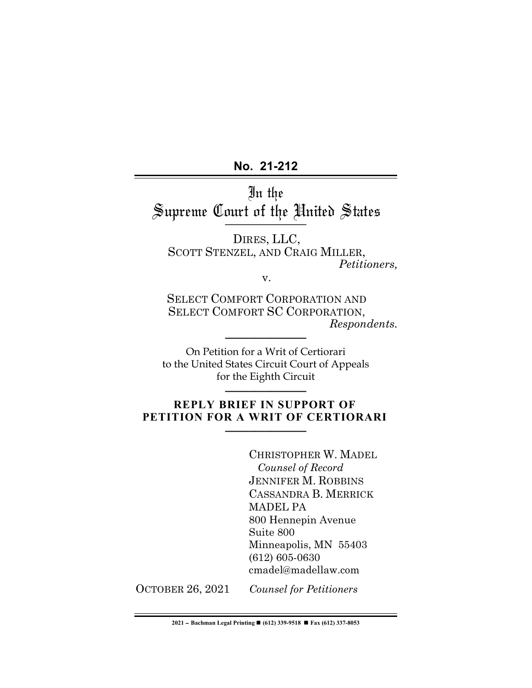**No. 21-212**٦

In the Supreme Court of the United States \_\_\_\_\_\_\_\_\_\_\_\_\_\_

DIRES, LLC, SCOTT STENZEL, AND CRAIG MILLER, *Petitioners,*

v.

SELECT COMFORT CORPORATION AND SELECT COMFORT SC CORPORATION,  $Response$ *Respondents.* 

On Petition for a Writ of Certiorari to the United States Circuit Court of Appeals for the Eighth Circuit **\_\_\_\_\_\_\_\_\_\_\_\_\_\_**

### **REPLY BRIEF IN SUPPORT OF PETITION FOR A WRIT OF CERTIORARI**

CHRISTOPHER W. MADEL  *Counsel of Record* JENNIFER M. ROBBINS CASSANDRA B. MERRICK MADEL PA 800 Hennepin Avenue Suite 800 Minneapolis, MN 55403 (612) 605-0630 cmadel@madellaw.com

OCTOBER 26, 2021 *Counsel for Petitioners*

**2021** ! **Bachman Legal Printing** ! **(612) 339-9518** ! **Fax (612) 337-8053**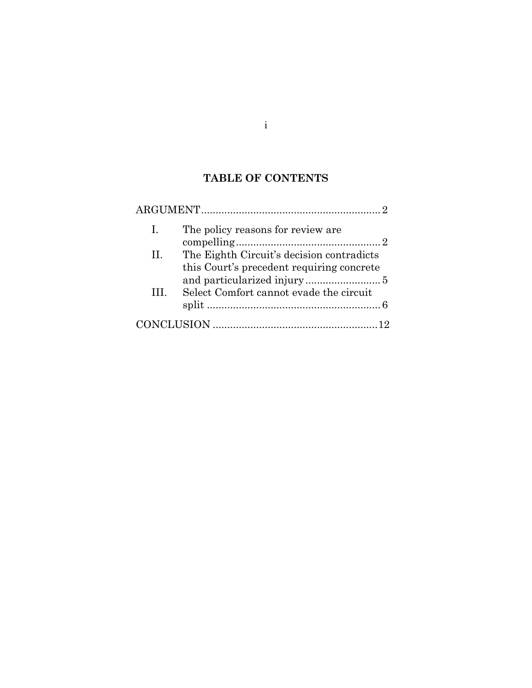# **TABLE OF CONTENTS**

| $\mathbf{I}$ . | The policy reasons for review are                                                      |  |
|----------------|----------------------------------------------------------------------------------------|--|
| II.            | The Eighth Circuit's decision contradicts<br>this Court's precedent requiring concrete |  |
| Ш.             | Select Comfort cannot evade the circuit                                                |  |
|                |                                                                                        |  |

i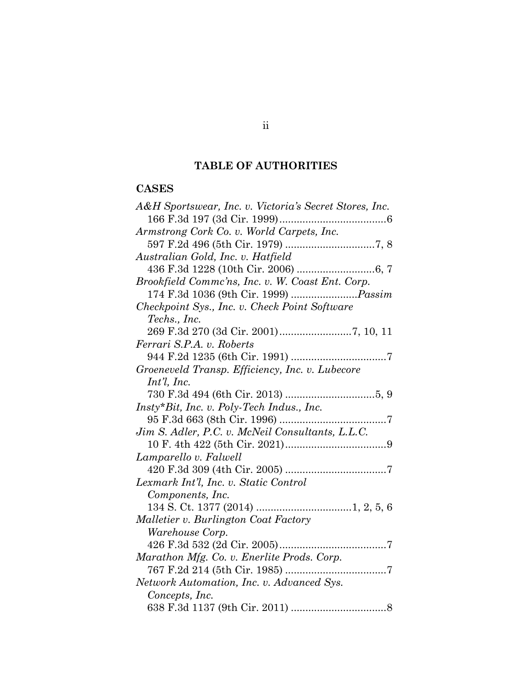# **TABLE OF AUTHORITIES**

# **CASES**

| A&H Sportswear, Inc. v. Victoria's Secret Stores, Inc. |
|--------------------------------------------------------|
|                                                        |
| Armstrong Cork Co. v. World Carpets, Inc.              |
|                                                        |
| Australian Gold, Inc. v. Hatfield                      |
|                                                        |
| Brookfield Commc'ns, Inc. v. W. Coast Ent. Corp.       |
| 174 F.3d 1036 (9th Cir. 1999) <i>Passim</i>            |
| Checkpoint Sys., Inc. v. Check Point Software          |
| Techs., Inc.                                           |
|                                                        |
| Ferrari S.P.A. v. Roberts                              |
|                                                        |
| Groeneveld Transp. Efficiency, Inc. v. Lubecore        |
| $Int'l$ , Inc.                                         |
|                                                        |
| Insty*Bit, Inc. v. Poly-Tech Indus., Inc.              |
|                                                        |
| Jim S. Adler, P.C. v. McNeil Consultants, L.L.C.       |
|                                                        |
| Lamparello v. Falwell                                  |
|                                                        |
| Lexmark Int'l, Inc. v. Static Control                  |
| Components, Inc.                                       |
|                                                        |
| Malletier v. Burlington Coat Factory                   |
| Warehouse Corp.                                        |
|                                                        |
| Marathon Mfg. Co. v. Enerlite Prods. Corp.             |
|                                                        |
| Network Automation, Inc. v. Advanced Sys.              |
| Concepts, Inc.                                         |
|                                                        |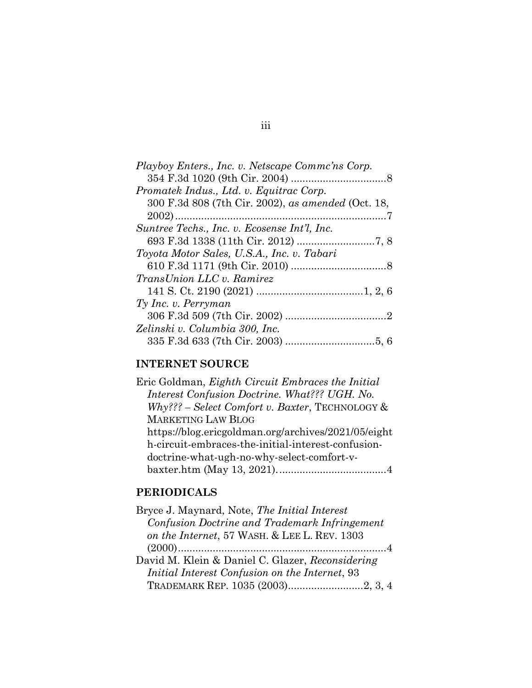# **INTERNET SOURCE**

| Interest Confusion Doctrine. What??? UGH. No.       |  |
|-----------------------------------------------------|--|
|                                                     |  |
| $Why??? - Select Comfort v. Baster, TECHNOLOGY &$   |  |
| <b>MARKETING LAW BLOG</b>                           |  |
| https://blog.ericgoldman.org/archives/2021/05/eight |  |
| h-circuit-embraces-the-initial-interest-confusion-  |  |
| doctrine-what-ugh-no-why-select-comfort-v-          |  |
|                                                     |  |

# **PERIODICALS**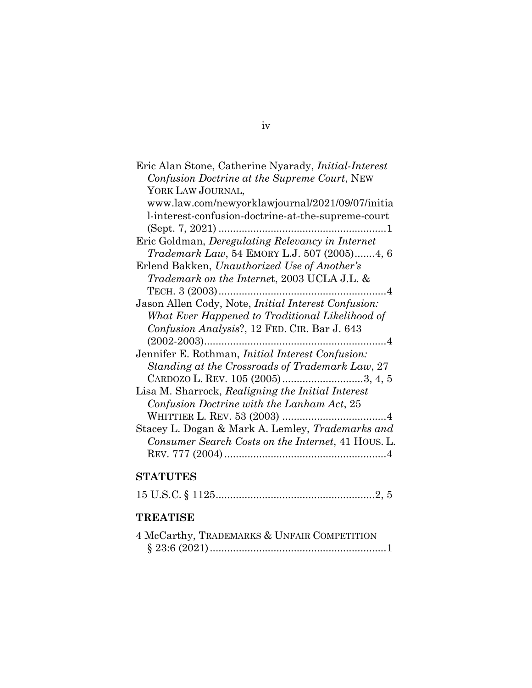| Eric Alan Stone, Catherine Nyarady, <i>Initial-Interest</i> |
|-------------------------------------------------------------|
| Confusion Doctrine at the Supreme Court, NEW                |
| YORK LAW JOURNAL,                                           |
| www.law.com/newyorklawjournal/2021/09/07/initia             |
| l-interest-confusion-doctrine-at-the-supreme-court          |
|                                                             |
| Eric Goldman, Deregulating Relevancy in Internet            |
| <i>Trademark Law</i> , 54 EMORY L.J. 507 (2005)4, 6         |
| Erlend Bakken, Unauthorized Use of Another's                |
| <i>Trademark on the Internet, 2003 UCLA J.L. &amp;</i>      |
|                                                             |
| Jason Allen Cody, Note, <i>Initial Interest Confusion</i> : |
| What Ever Happened to Traditional Likelihood of             |
| Confusion Analysis?, 12 FED. CIR. Bar J. 643                |
|                                                             |
| Jennifer E. Rothman, Initial Interest Confusion:            |
| Standing at the Crossroads of Trademark Law, 27             |
| CARDOZO L. REV. 105 (2005)3, 4, 5                           |
| Lisa M. Sharrock, Realigning the Initial Interest           |
| Confusion Doctrine with the Lanham Act, 25                  |
|                                                             |
| Stacey L. Dogan & Mark A. Lemley, <i>Trademarks and</i>     |
| Consumer Search Costs on the Internet, 41 HOUS. L.          |
|                                                             |

# **STATUTES**

|--|--|--|--|--|--|--|--|

## **TREATISE**

| 4 McCarthy, TRADEMARKS & UNFAIR COMPETITION |  |
|---------------------------------------------|--|
|                                             |  |

### iv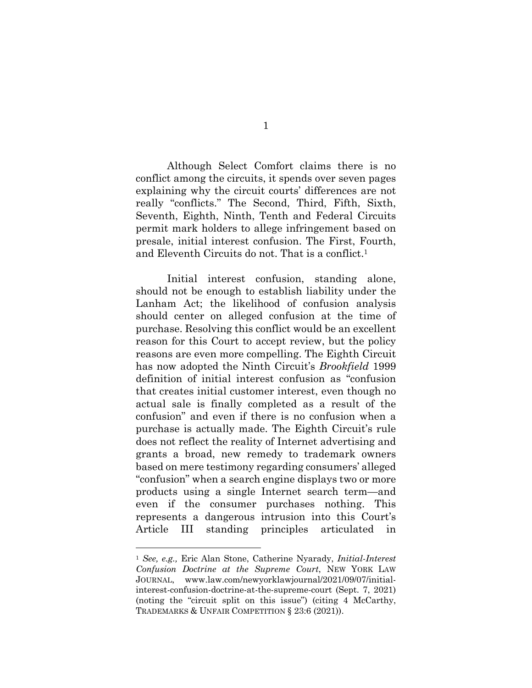Although Select Comfort claims there is no conflict among the circuits, it spends over seven pages explaining why the circuit courts' differences are not really "conflicts." The Second, Third, Fifth, Sixth, Seventh, Eighth, Ninth, Tenth and Federal Circuits permit mark holders to allege infringement based on presale, initial interest confusion. The First, Fourth, and Eleventh Circuits do not. That is a conflict.1

Initial interest confusion, standing alone, should not be enough to establish liability under the Lanham Act; the likelihood of confusion analysis should center on alleged confusion at the time of purchase. Resolving this conflict would be an excellent reason for this Court to accept review, but the policy reasons are even more compelling. The Eighth Circuit has now adopted the Ninth Circuit's *Brookfield* 1999 definition of initial interest confusion as "confusion that creates initial customer interest, even though no actual sale is finally completed as a result of the confusion" and even if there is no confusion when a purchase is actually made. The Eighth Circuit's rule does not reflect the reality of Internet advertising and grants a broad, new remedy to trademark owners based on mere testimony regarding consumers' alleged "confusion" when a search engine displays two or more products using a single Internet search term—and even if the consumer purchases nothing. This represents a dangerous intrusion into this Court's Article III standing principles articulated in

<sup>1</sup> *See, e.g.,* Eric Alan Stone, Catherine Nyarady, *Initial-Interest Confusion Doctrine at the Supreme Court*, NEW YORK LAW JOURNAL, www.law.com/newyorklawjournal/2021/09/07/initialinterest-confusion-doctrine-at-the-supreme-court (Sept. 7, 2021) (noting the "circuit split on this issue") (citing 4 McCarthy, TRADEMARKS & UNFAIR COMPETITION § 23:6 (2021)).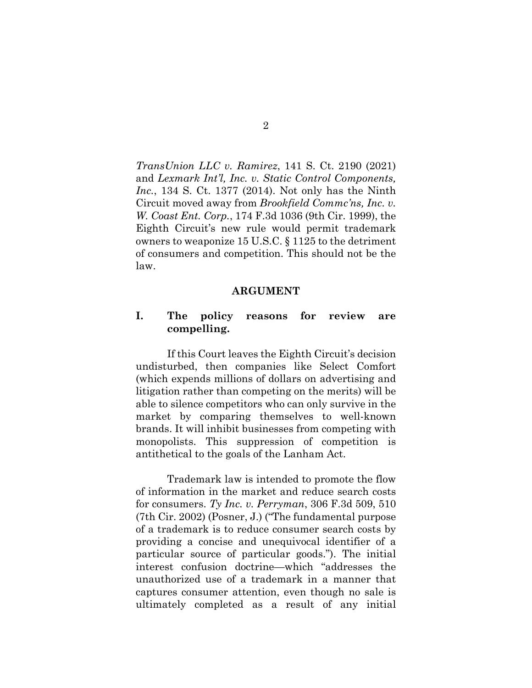*TransUnion LLC v. Ramirez*, 141 S. Ct. 2190 (2021) and *Lexmark Int'l, Inc. v. Static Control Components, Inc.*, 134 S. Ct. 1377 (2014). Not only has the Ninth Circuit moved away from *Brookfield Commc'ns, Inc. v. W. Coast Ent. Corp.*, 174 F.3d 1036 (9th Cir. 1999), the Eighth Circuit's new rule would permit trademark owners to weaponize 15 U.S.C. § 1125 to the detriment of consumers and competition. This should not be the law.

#### **ARGUMENT**

### **I. The policy reasons for review are compelling.**

If this Court leaves the Eighth Circuit's decision undisturbed, then companies like Select Comfort (which expends millions of dollars on advertising and litigation rather than competing on the merits) will be able to silence competitors who can only survive in the market by comparing themselves to well-known brands. It will inhibit businesses from competing with monopolists. This suppression of competition is antithetical to the goals of the Lanham Act.

Trademark law is intended to promote the flow of information in the market and reduce search costs for consumers. *Ty Inc. v. Perryman*, 306 F.3d 509, 510 (7th Cir. 2002) (Posner, J.) ("The fundamental purpose of a trademark is to reduce consumer search costs by providing a concise and unequivocal identifier of a particular source of particular goods."). The initial interest confusion doctrine—which "addresses the unauthorized use of a trademark in a manner that captures consumer attention, even though no sale is ultimately completed as a result of any initial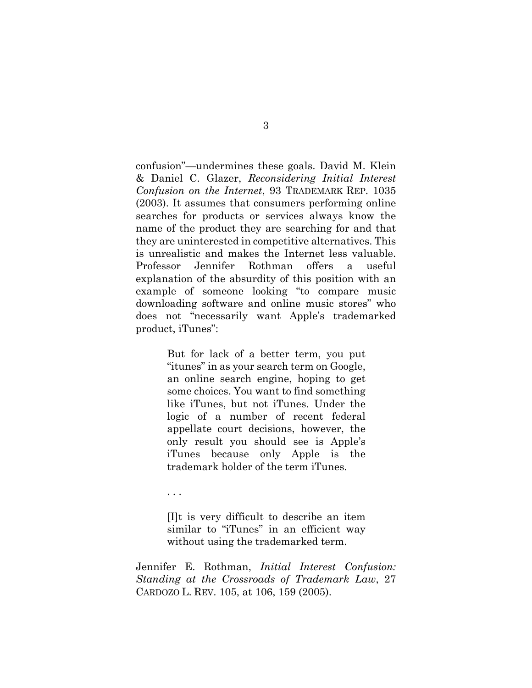confusion"—undermines these goals. David M. Klein & Daniel C. Glazer, *Reconsidering Initial Interest Confusion on the Internet*, 93 TRADEMARK REP. 1035 (2003). It assumes that consumers performing online searches for products or services always know the name of the product they are searching for and that they are uninterested in competitive alternatives. This is unrealistic and makes the Internet less valuable. Professor Jennifer Rothman offers a useful explanation of the absurdity of this position with an example of someone looking "to compare music downloading software and online music stores" who does not "necessarily want Apple's trademarked product, iTunes":

> But for lack of a better term, you put "itunes" in as your search term on Google, an online search engine, hoping to get some choices. You want to find something like iTunes, but not iTunes. Under the logic of a number of recent federal appellate court decisions, however, the only result you should see is Apple's iTunes because only Apple is the trademark holder of the term iTunes.

. . .

[I]t is very difficult to describe an item similar to "iTunes" in an efficient way without using the trademarked term.

Jennifer E. Rothman, *Initial Interest Confusion: Standing at the Crossroads of Trademark Law*, 27 CARDOZO L. REV. 105, at 106, 159 (2005).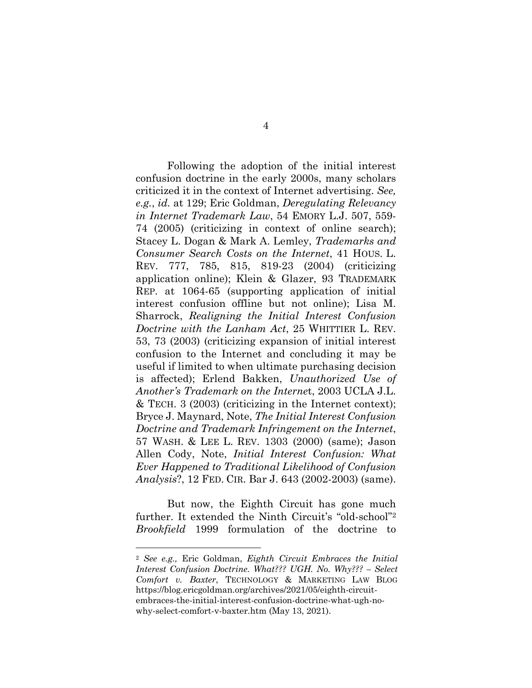Following the adoption of the initial interest confusion doctrine in the early 2000s, many scholars criticized it in the context of Internet advertising. *See, e.g.*, *id.* at 129; Eric Goldman, *Deregulating Relevancy in Internet Trademark Law*, 54 EMORY L.J. 507, 559- 74 (2005) (criticizing in context of online search); Stacey L. Dogan & Mark A. Lemley, *Trademarks and Consumer Search Costs on the Internet*, 41 HOUS. L. REV. 777, 785, 815, 819-23 (2004) (criticizing application online); Klein & Glazer, 93 TRADEMARK REP. at 1064-65 (supporting application of initial interest confusion offline but not online); Lisa M. Sharrock, *Realigning the Initial Interest Confusion Doctrine with the Lanham Act*, 25 WHITTIER L. REV. 53, 73 (2003) (criticizing expansion of initial interest confusion to the Internet and concluding it may be useful if limited to when ultimate purchasing decision is affected); Erlend Bakken, *Unauthorized Use of Another's Trademark on the Interne*t, 2003 UCLA J.L. & TECH. 3 (2003) (criticizing in the Internet context); Bryce J. Maynard, Note, *The Initial Interest Confusion Doctrine and Trademark Infringement on the Internet*, 57 WASH. & LEE L. REV. 1303 (2000) (same); Jason Allen Cody, Note, *Initial Interest Confusion: What Ever Happened to Traditional Likelihood of Confusion Analysis*?, 12 FED. CIR. Bar J. 643 (2002-2003) (same).

But now, the Eighth Circuit has gone much further. It extended the Ninth Circuit's "old-school"2 *Brookfield* 1999 formulation of the doctrine to

<sup>2</sup> *See e.g.,* Eric Goldman, *Eighth Circuit Embraces the Initial Interest Confusion Doctrine. What??? UGH. No. Why??? – Select Comfort v. Baxter*, TECHNOLOGY & MARKETING LAW BLOG https://blog.ericgoldman.org/archives/2021/05/eighth-circuitembraces-the-initial-interest-confusion-doctrine-what-ugh-nowhy-select-comfort-v-baxter.htm (May 13, 2021).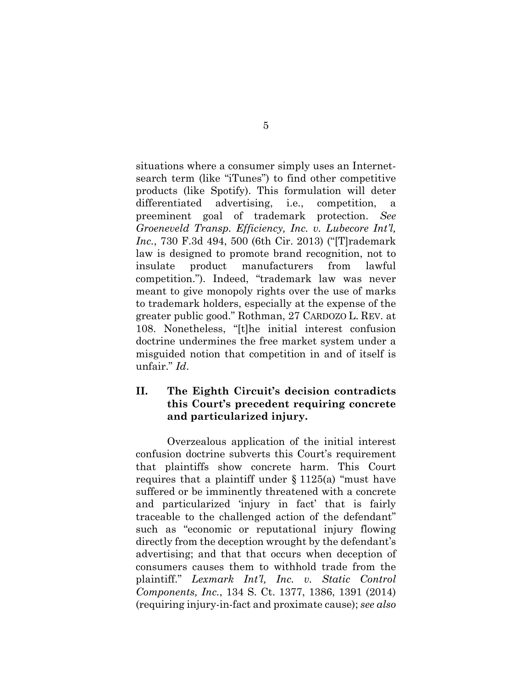situations where a consumer simply uses an Internetsearch term (like "iTunes") to find other competitive products (like Spotify). This formulation will deter differentiated advertising, i.e., competition, a preeminent goal of trademark protection. *See Groeneveld Transp. Efficiency, Inc. v. Lubecore Int'l, Inc.*, 730 F.3d 494, 500 (6th Cir. 2013) ("[T]rademark law is designed to promote brand recognition, not to insulate product manufacturers from lawful competition."). Indeed, "trademark law was never meant to give monopoly rights over the use of marks to trademark holders, especially at the expense of the greater public good." Rothman, 27 CARDOZO L. REV. at 108. Nonetheless, "[t]he initial interest confusion doctrine undermines the free market system under a misguided notion that competition in and of itself is unfair." *Id*.

### **II. The Eighth Circuit's decision contradicts this Court's precedent requiring concrete and particularized injury.**

Overzealous application of the initial interest confusion doctrine subverts this Court's requirement that plaintiffs show concrete harm. This Court requires that a plaintiff under  $\S 1125(a)$  "must have suffered or be imminently threatened with a concrete and particularized 'injury in fact' that is fairly traceable to the challenged action of the defendant" such as "economic or reputational injury flowing directly from the deception wrought by the defendant's advertising; and that that occurs when deception of consumers causes them to withhold trade from the plaintiff." *Lexmark Int'l, Inc. v. Static Control Components, Inc.*, 134 S. Ct. 1377, 1386, 1391 (2014) (requiring injury-in-fact and proximate cause); *see also*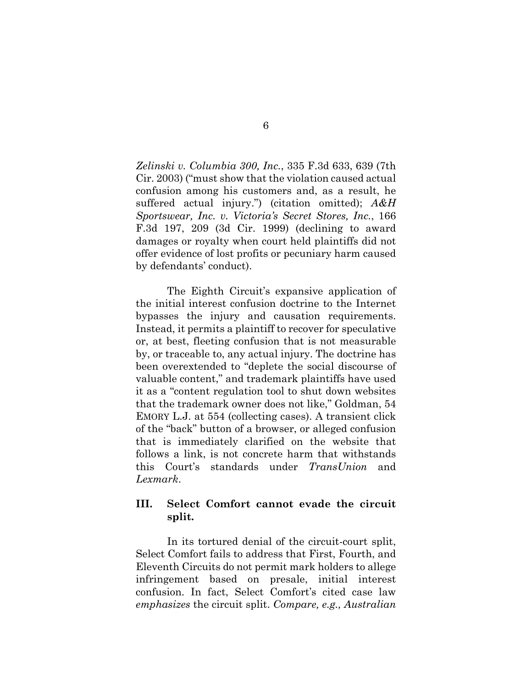*Zelinski v. Columbia 300, Inc.*, 335 F.3d 633, 639 (7th Cir. 2003) ("must show that the violation caused actual confusion among his customers and, as a result, he suffered actual injury.") (citation omitted); *A&H Sportswear, Inc. v. Victoria's Secret Stores, Inc.*, 166 F.3d 197, 209 (3d Cir. 1999) (declining to award damages or royalty when court held plaintiffs did not offer evidence of lost profits or pecuniary harm caused by defendants' conduct).

The Eighth Circuit's expansive application of the initial interest confusion doctrine to the Internet bypasses the injury and causation requirements. Instead, it permits a plaintiff to recover for speculative or, at best, fleeting confusion that is not measurable by, or traceable to, any actual injury. The doctrine has been overextended to "deplete the social discourse of valuable content," and trademark plaintiffs have used it as a "content regulation tool to shut down websites that the trademark owner does not like," Goldman, 54 EMORY L.J. at 554 (collecting cases). A transient click of the "back" button of a browser, or alleged confusion that is immediately clarified on the website that follows a link, is not concrete harm that withstands this Court's standards under *TransUnion* and *Lexmark*.

### **III. Select Comfort cannot evade the circuit split.**

In its tortured denial of the circuit-court split, Select Comfort fails to address that First, Fourth, and Eleventh Circuits do not permit mark holders to allege infringement based on presale, initial interest confusion. In fact, Select Comfort's cited case law *emphasizes* the circuit split. *Compare, e.g., Australian*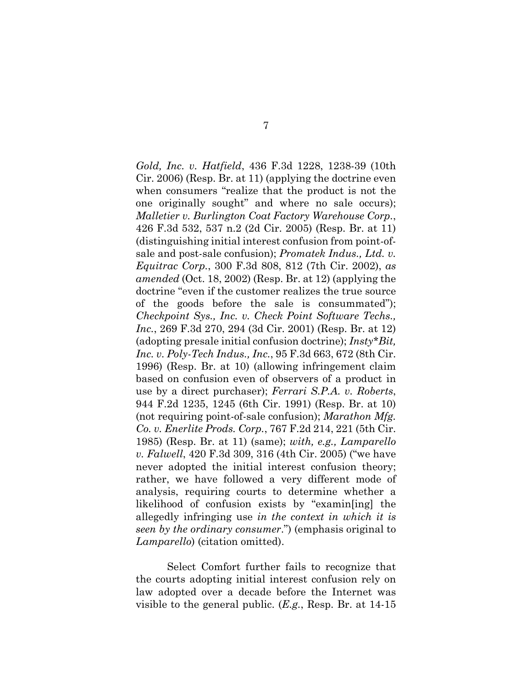*Gold, Inc. v. Hatfield*, 436 F.3d 1228, 1238-39 (10th Cir. 2006) (Resp. Br. at 11) (applying the doctrine even when consumers "realize that the product is not the one originally sought" and where no sale occurs); *Malletier v. Burlington Coat Factory Warehouse Corp.*, 426 F.3d 532, 537 n.2 (2d Cir. 2005) (Resp. Br. at 11) (distinguishing initial interest confusion from point-ofsale and post-sale confusion); *Promatek Indus., Ltd. v. Equitrac Corp.*, 300 F.3d 808, 812 (7th Cir. 2002), *as amended* (Oct. 18, 2002) (Resp. Br. at 12) (applying the doctrine "even if the customer realizes the true source of the goods before the sale is consummated"); *Checkpoint Sys., Inc. v. Check Point Software Techs., Inc.*, 269 F.3d 270, 294 (3d Cir. 2001) (Resp. Br. at 12) (adopting presale initial confusion doctrine); *Insty\*Bit, Inc. v. Poly-Tech Indus., Inc.*, 95 F.3d 663, 672 (8th Cir. 1996) (Resp. Br. at 10) (allowing infringement claim based on confusion even of observers of a product in use by a direct purchaser); *Ferrari S.P.A. v. Roberts*, 944 F.2d 1235, 1245 (6th Cir. 1991) (Resp. Br. at 10) (not requiring point-of-sale confusion); *Marathon Mfg. Co. v. Enerlite Prods. Corp.*, 767 F.2d 214, 221 (5th Cir. 1985) (Resp. Br. at 11) (same); *with, e.g., Lamparello v. Falwell*, 420 F.3d 309, 316 (4th Cir. 2005) ("we have never adopted the initial interest confusion theory; rather, we have followed a very different mode of analysis, requiring courts to determine whether a likelihood of confusion exists by "examin[ing] the allegedly infringing use *in the context in which it is seen by the ordinary consumer*.") (emphasis original to *Lamparello*) (citation omitted).

Select Comfort further fails to recognize that the courts adopting initial interest confusion rely on law adopted over a decade before the Internet was visible to the general public. (*E.g.*, Resp. Br. at 14-15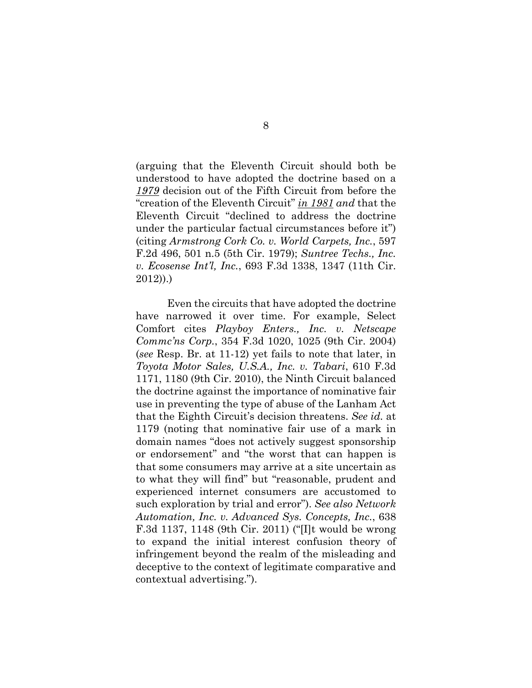(arguing that the Eleventh Circuit should both be understood to have adopted the doctrine based on a *1979* decision out of the Fifth Circuit from before the "creation of the Eleventh Circuit" *in 1981 and* that the Eleventh Circuit "declined to address the doctrine under the particular factual circumstances before it") (citing *Armstrong Cork Co. v. World Carpets, Inc.*, 597 F.2d 496, 501 n.5 (5th Cir. 1979); *Suntree Techs., Inc. v. Ecosense Int'l, Inc.*, 693 F.3d 1338, 1347 (11th Cir. 2012)).)

Even the circuits that have adopted the doctrine have narrowed it over time. For example, Select Comfort cites *Playboy Enters., Inc. v. Netscape Commc'ns Corp.*, 354 F.3d 1020, 1025 (9th Cir. 2004) (*see* Resp. Br. at 11-12) yet fails to note that later, in *Toyota Motor Sales, U.S.A., Inc. v. Tabari*, 610 F.3d 1171, 1180 (9th Cir. 2010), the Ninth Circuit balanced the doctrine against the importance of nominative fair use in preventing the type of abuse of the Lanham Act that the Eighth Circuit's decision threatens. *See id.* at 1179 (noting that nominative fair use of a mark in domain names "does not actively suggest sponsorship or endorsement" and "the worst that can happen is that some consumers may arrive at a site uncertain as to what they will find" but "reasonable, prudent and experienced internet consumers are accustomed to such exploration by trial and error"). *See also Network Automation, Inc. v. Advanced Sys. Concepts, Inc.*, 638 F.3d 1137, 1148 (9th Cir. 2011) ("[I]t would be wrong to expand the initial interest confusion theory of infringement beyond the realm of the misleading and deceptive to the context of legitimate comparative and contextual advertising.").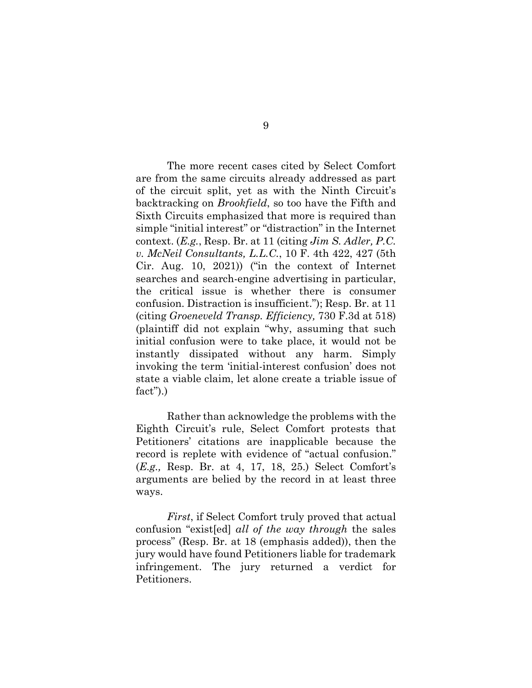The more recent cases cited by Select Comfort are from the same circuits already addressed as part of the circuit split, yet as with the Ninth Circuit's backtracking on *Brookfield*, so too have the Fifth and Sixth Circuits emphasized that more is required than simple "initial interest" or "distraction" in the Internet context. (*E.g.*, Resp. Br. at 11 (citing *Jim S. Adler, P.C. v. McNeil Consultants, L.L.C.*, 10 F. 4th 422, 427 (5th Cir. Aug. 10, 2021)) ("in the context of Internet searches and search-engine advertising in particular, the critical issue is whether there is consumer confusion. Distraction is insufficient."); Resp. Br. at 11 (citing *Groeneveld Transp. Efficiency,* 730 F.3d at 518) (plaintiff did not explain "why, assuming that such initial confusion were to take place, it would not be instantly dissipated without any harm. Simply invoking the term 'initial-interest confusion' does not state a viable claim, let alone create a triable issue of fact").)

Rather than acknowledge the problems with the Eighth Circuit's rule, Select Comfort protests that Petitioners' citations are inapplicable because the record is replete with evidence of "actual confusion." (*E.g.,* Resp. Br. at 4, 17, 18, 25.) Select Comfort's arguments are belied by the record in at least three ways.

*First*, if Select Comfort truly proved that actual confusion "exist[ed] *all of the way through* the sales process" (Resp. Br. at 18 (emphasis added)), then the jury would have found Petitioners liable for trademark infringement. The jury returned a verdict for Petitioners.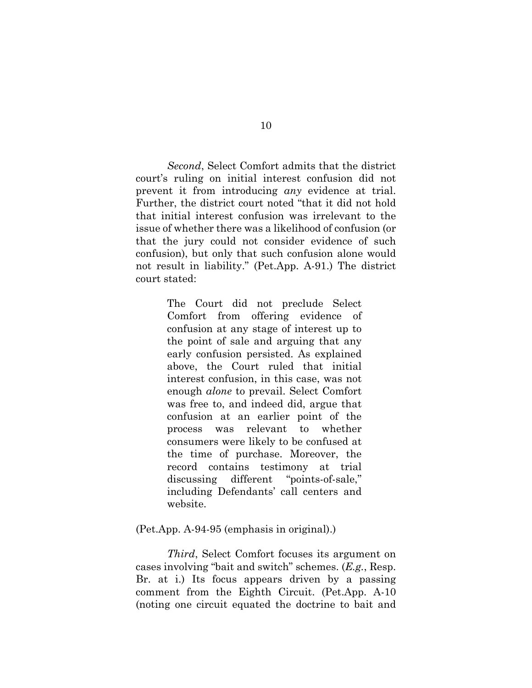*Second*, Select Comfort admits that the district court's ruling on initial interest confusion did not prevent it from introducing *any* evidence at trial. Further, the district court noted "that it did not hold that initial interest confusion was irrelevant to the issue of whether there was a likelihood of confusion (or that the jury could not consider evidence of such confusion), but only that such confusion alone would not result in liability." (Pet.App. A-91.) The district court stated:

> The Court did not preclude Select Comfort from offering evidence of confusion at any stage of interest up to the point of sale and arguing that any early confusion persisted. As explained above, the Court ruled that initial interest confusion, in this case, was not enough *alone* to prevail. Select Comfort was free to, and indeed did, argue that confusion at an earlier point of the process was relevant to whether consumers were likely to be confused at the time of purchase. Moreover, the record contains testimony at trial discussing different "points-of-sale," including Defendants' call centers and website.

#### (Pet.App. A-94-95 (emphasis in original).)

*Third*, Select Comfort focuses its argument on cases involving "bait and switch" schemes. (*E.g.*, Resp. Br. at i.) Its focus appears driven by a passing comment from the Eighth Circuit. (Pet.App. A-10 (noting one circuit equated the doctrine to bait and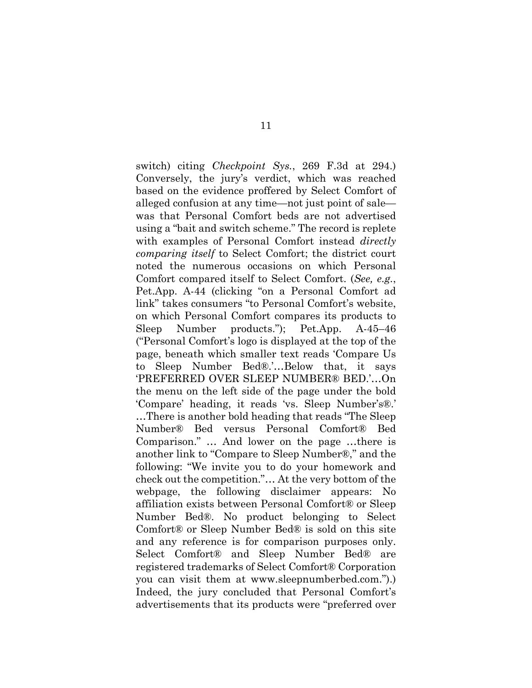switch) citing *Checkpoint Sys.*, 269 F.3d at 294.) Conversely, the jury's verdict, which was reached based on the evidence proffered by Select Comfort of alleged confusion at any time—not just point of sale was that Personal Comfort beds are not advertised using a "bait and switch scheme." The record is replete with examples of Personal Comfort instead *directly comparing itself* to Select Comfort; the district court noted the numerous occasions on which Personal Comfort compared itself to Select Comfort. (*See, e.g.*, Pet.App. A-44 (clicking "on a Personal Comfort ad link" takes consumers "to Personal Comfort's website, on which Personal Comfort compares its products to Sleep Number products."); Pet.App. A-45–46 ("Personal Comfort's logo is displayed at the top of the page, beneath which smaller text reads 'Compare Us to Sleep Number Bed®.'…Below that, it says 'PREFERRED OVER SLEEP NUMBER® BED.'…On the menu on the left side of the page under the bold 'Compare' heading, it reads 'vs. Sleep Number's®.' …There is another bold heading that reads "The Sleep Number® Bed versus Personal Comfort® Bed Comparison." … And lower on the page …there is another link to "Compare to Sleep Number®," and the following: "We invite you to do your homework and check out the competition."… At the very bottom of the webpage, the following disclaimer appears: No affiliation exists between Personal Comfort® or Sleep Number Bed®. No product belonging to Select Comfort® or Sleep Number Bed® is sold on this site and any reference is for comparison purposes only. Select Comfort® and Sleep Number Bed® are registered trademarks of Select Comfort® Corporation you can visit them at www.sleepnumberbed.com.").) Indeed, the jury concluded that Personal Comfort's advertisements that its products were "preferred over